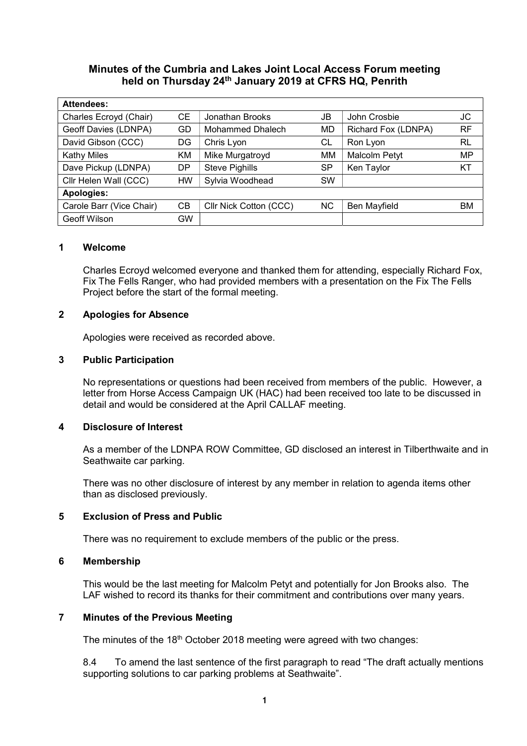# Minutes of the Cumbria and Lakes Joint Local Access Forum meeting held on Thursday 24th January 2019 at CFRS HQ, Penrith

| <b>Attendees:</b>        |           |                        |           |                      |           |
|--------------------------|-----------|------------------------|-----------|----------------------|-----------|
| Charles Ecroyd (Chair)   | <b>CE</b> | Jonathan Brooks        | JB        | John Crosbie         | JC        |
| Geoff Davies (LDNPA)     | GD        | Mohammed Dhalech       | MD        | Richard Fox (LDNPA)  | <b>RF</b> |
| David Gibson (CCC)       | DG        | Chris Lyon             | СL        | Ron Lyon             | RL        |
| <b>Kathy Miles</b>       | KM        | Mike Murgatroyd        | MM        | <b>Malcolm Petyt</b> | MP        |
| Dave Pickup (LDNPA)      | DP        | <b>Steve Pighills</b>  | <b>SP</b> | Ken Taylor           | KT        |
| Cllr Helen Wall (CCC)    | HW        | Sylvia Woodhead        | <b>SW</b> |                      |           |
| <b>Apologies:</b>        |           |                        |           |                      |           |
| Carole Barr (Vice Chair) | CВ        | Cllr Nick Cotton (CCC) | NC.       | Ben Mayfield         | ВM        |
| <b>Geoff Wilson</b>      | GW        |                        |           |                      |           |

#### 1 Welcome

Charles Ecroyd welcomed everyone and thanked them for attending, especially Richard Fox, Fix The Fells Ranger, who had provided members with a presentation on the Fix The Fells Project before the start of the formal meeting.

### 2 Apologies for Absence

Apologies were received as recorded above.

### 3 Public Participation

No representations or questions had been received from members of the public. However, a letter from Horse Access Campaign UK (HAC) had been received too late to be discussed in detail and would be considered at the April CALLAF meeting.

## 4 Disclosure of Interest

As a member of the LDNPA ROW Committee, GD disclosed an interest in Tilberthwaite and in Seathwaite car parking.

There was no other disclosure of interest by any member in relation to agenda items other than as disclosed previously.

#### 5 Exclusion of Press and Public

There was no requirement to exclude members of the public or the press.

#### 6 Membership

This would be the last meeting for Malcolm Petyt and potentially for Jon Brooks also. The LAF wished to record its thanks for their commitment and contributions over many years.

#### 7 Minutes of the Previous Meeting

The minutes of the 18<sup>th</sup> October 2018 meeting were agreed with two changes:

8.4 To amend the last sentence of the first paragraph to read "The draft actually mentions supporting solutions to car parking problems at Seathwaite".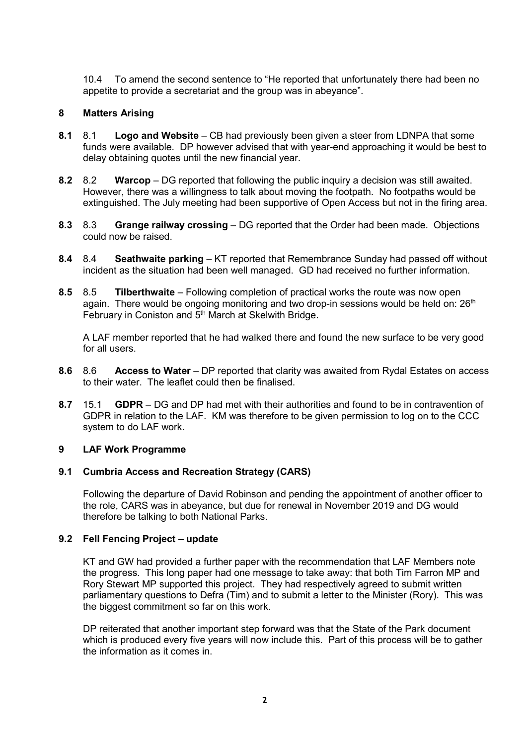10.4 To amend the second sentence to "He reported that unfortunately there had been no appetite to provide a secretariat and the group was in abeyance".

## 8 Matters Arising

- 8.1 8.1 Logo and Website CB had previously been given a steer from LDNPA that some funds were available. DP however advised that with year-end approaching it would be best to delay obtaining quotes until the new financial year.
- 8.2 8.2 Warcop DG reported that following the public inquiry a decision was still awaited. However, there was a willingness to talk about moving the footpath. No footpaths would be extinguished. The July meeting had been supportive of Open Access but not in the firing area.
- 8.3 8.3 Grange railway crossing DG reported that the Order had been made. Objections could now be raised.
- 8.4 8.4 Seathwaite parking KT reported that Remembrance Sunday had passed off without incident as the situation had been well managed. GD had received no further information.
- 8.5 8.5 Tilberthwaite Following completion of practical works the route was now open again. There would be ongoing monitoring and two drop-in sessions would be held on: 26<sup>th</sup> February in Coniston and 5<sup>th</sup> March at Skelwith Bridge.

A LAF member reported that he had walked there and found the new surface to be very good for all users.

- 8.6 8.6 Access to Water DP reported that clarity was awaited from Rydal Estates on access to their water. The leaflet could then be finalised.
- 8.7 15.1 **GDPR** DG and DP had met with their authorities and found to be in contravention of GDPR in relation to the LAF. KM was therefore to be given permission to log on to the CCC system to do LAF work.

## 9 LAF Work Programme

## 9.1 Cumbria Access and Recreation Strategy (CARS)

Following the departure of David Robinson and pending the appointment of another officer to the role, CARS was in abeyance, but due for renewal in November 2019 and DG would therefore be talking to both National Parks.

## 9.2 Fell Fencing Project – update

KT and GW had provided a further paper with the recommendation that LAF Members note the progress. This long paper had one message to take away: that both Tim Farron MP and Rory Stewart MP supported this project. They had respectively agreed to submit written parliamentary questions to Defra (Tim) and to submit a letter to the Minister (Rory). This was the biggest commitment so far on this work.

DP reiterated that another important step forward was that the State of the Park document which is produced every five years will now include this. Part of this process will be to gather the information as it comes in.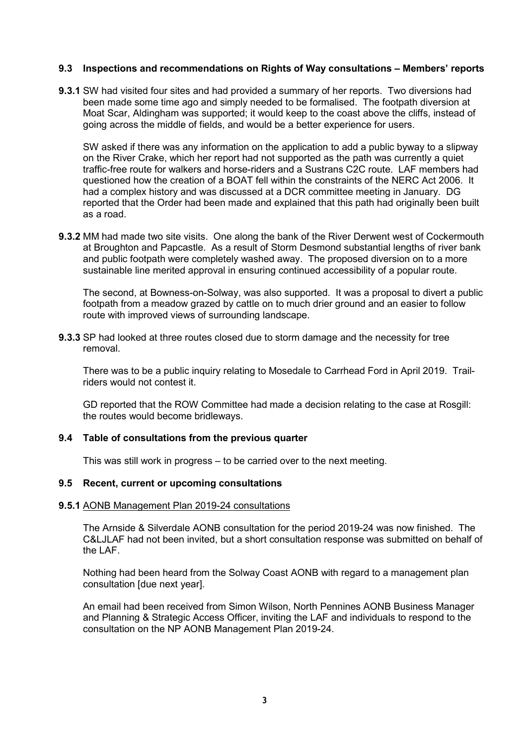### 9.3 Inspections and recommendations on Rights of Way consultations – Members' reports

**9.3.1** SW had visited four sites and had provided a summary of her reports. Two diversions had been made some time ago and simply needed to be formalised. The footpath diversion at Moat Scar, Aldingham was supported; it would keep to the coast above the cliffs, instead of going across the middle of fields, and would be a better experience for users.

SW asked if there was any information on the application to add a public byway to a slipway on the River Crake, which her report had not supported as the path was currently a quiet traffic-free route for walkers and horse-riders and a Sustrans C2C route. LAF members had questioned how the creation of a BOAT fell within the constraints of the NERC Act 2006. It had a complex history and was discussed at a DCR committee meeting in January. DG reported that the Order had been made and explained that this path had originally been built as a road.

**9.3.2** MM had made two site visits. One along the bank of the River Derwent west of Cockermouth at Broughton and Papcastle. As a result of Storm Desmond substantial lengths of river bank and public footpath were completely washed away. The proposed diversion on to a more sustainable line merited approval in ensuring continued accessibility of a popular route.

The second, at Bowness-on-Solway, was also supported. It was a proposal to divert a public footpath from a meadow grazed by cattle on to much drier ground and an easier to follow route with improved views of surrounding landscape.

**9.3.3** SP had looked at three routes closed due to storm damage and the necessity for tree removal.

There was to be a public inquiry relating to Mosedale to Carrhead Ford in April 2019. Trailriders would not contest it.

GD reported that the ROW Committee had made a decision relating to the case at Rosgill: the routes would become bridleways.

#### 9.4 Table of consultations from the previous quarter

This was still work in progress – to be carried over to the next meeting.

#### 9.5 Recent, current or upcoming consultations

#### 9.5.1 AONB Management Plan 2019-24 consultations

The Arnside & Silverdale AONB consultation for the period 2019-24 was now finished. The C&LJLAF had not been invited, but a short consultation response was submitted on behalf of the LAF.

Nothing had been heard from the Solway Coast AONB with regard to a management plan consultation [due next year].

An email had been received from Simon Wilson, North Pennines AONB Business Manager and Planning & Strategic Access Officer, inviting the LAF and individuals to respond to the consultation on the NP AONB Management Plan 2019-24.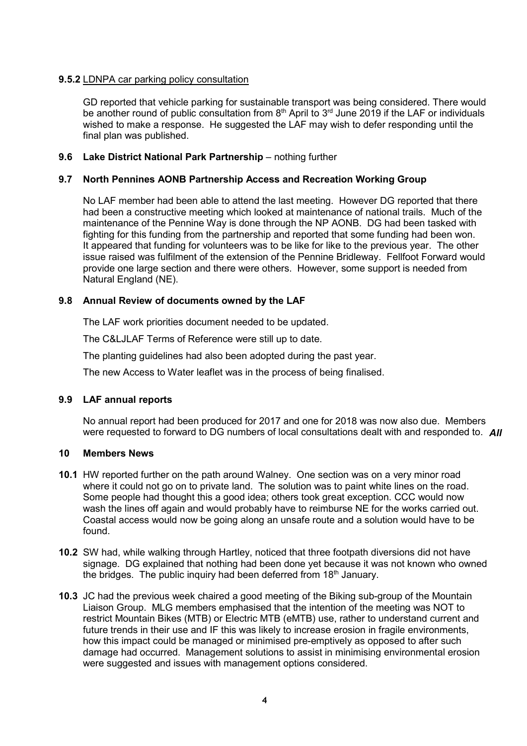## 9.5.2 LDNPA car parking policy consultation

GD reported that vehicle parking for sustainable transport was being considered. There would be another round of public consultation from  $8<sup>th</sup>$  April to  $3<sup>rd</sup>$  June 2019 if the LAF or individuals wished to make a response. He suggested the LAF may wish to defer responding until the final plan was published.

### 9.6 Lake District National Park Partnership – nothing further

## 9.7 North Pennines AONB Partnership Access and Recreation Working Group

No LAF member had been able to attend the last meeting. However DG reported that there had been a constructive meeting which looked at maintenance of national trails. Much of the maintenance of the Pennine Way is done through the NP AONB. DG had been tasked with fighting for this funding from the partnership and reported that some funding had been won. It appeared that funding for volunteers was to be like for like to the previous year. The other issue raised was fulfilment of the extension of the Pennine Bridleway. Fellfoot Forward would provide one large section and there were others. However, some support is needed from Natural England (NE).

### 9.8 Annual Review of documents owned by the LAF

The LAF work priorities document needed to be updated.

The C&LJLAF Terms of Reference were still up to date.

The planting guidelines had also been adopted during the past year.

The new Access to Water leaflet was in the process of being finalised.

## 9.9 LAF annual reports

No annual report had been produced for 2017 and one for 2018 was now also due. Members were requested to forward to DG numbers of local consultations dealt with and responded to. All

#### 10 Members News

- 10.1 HW reported further on the path around Walney. One section was on a very minor road where it could not go on to private land. The solution was to paint white lines on the road. Some people had thought this a good idea; others took great exception. CCC would now wash the lines off again and would probably have to reimburse NE for the works carried out. Coastal access would now be going along an unsafe route and a solution would have to be found.
- 10.2 SW had, while walking through Hartley, noticed that three footpath diversions did not have signage. DG explained that nothing had been done yet because it was not known who owned the bridges. The public inquiry had been deferred from  $18<sup>th</sup>$  January.
- 10.3 JC had the previous week chaired a good meeting of the Biking sub-group of the Mountain Liaison Group. MLG members emphasised that the intention of the meeting was NOT to restrict Mountain Bikes (MTB) or Electric MTB (eMTB) use, rather to understand current and future trends in their use and IF this was likely to increase erosion in fragile environments, how this impact could be managed or minimised pre-emptively as opposed to after such damage had occurred. Management solutions to assist in minimising environmental erosion were suggested and issues with management options considered.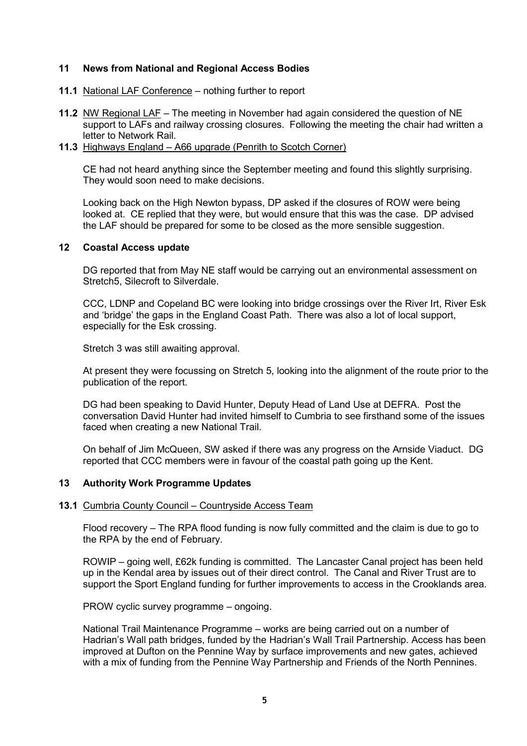### 11 News from National and Regional Access Bodies

- 11.1 National LAF Conference nothing further to report
- 11.2 NW Regional LAF The meeting in November had again considered the question of NE support to LAFs and railway crossing closures. Following the meeting the chair had written a letter to Network Rail.
- 11.3 Highways England A66 upgrade (Penrith to Scotch Corner)

CE had not heard anything since the September meeting and found this slightly surprising. They would soon need to make decisions.

Looking back on the High Newton bypass, DP asked if the closures of ROW were being looked at. CE replied that they were, but would ensure that this was the case. DP advised the LAF should be prepared for some to be closed as the more sensible suggestion.

### 12 Coastal Access update

 DG reported that from May NE staff would be carrying out an environmental assessment on Stretch5, Silecroft to Silverdale.

CCC, LDNP and Copeland BC were looking into bridge crossings over the River Irt, River Esk and 'bridge' the gaps in the England Coast Path. There was also a lot of local support, especially for the Esk crossing.

Stretch 3 was still awaiting approval.

At present they were focussing on Stretch 5, looking into the alignment of the route prior to the publication of the report.

DG had been speaking to David Hunter, Deputy Head of Land Use at DEFRA. Post the conversation David Hunter had invited himself to Cumbria to see firsthand some of the issues faced when creating a new National Trail.

On behalf of Jim McQueen, SW asked if there was any progress on the Arnside Viaduct. DG reported that CCC members were in favour of the coastal path going up the Kent.

## 13 Authority Work Programme Updates

#### 13.1 Cumbria County Council – Countryside Access Team

Flood recovery – The RPA flood funding is now fully committed and the claim is due to go to the RPA by the end of February.

ROWIP – going well, £62k funding is committed. The Lancaster Canal project has been held up in the Kendal area by issues out of their direct control. The Canal and River Trust are to support the Sport England funding for further improvements to access in the Crooklands area.

PROW cyclic survey programme – ongoing.

National Trail Maintenance Programme – works are being carried out on a number of Hadrian's Wall path bridges, funded by the Hadrian's Wall Trail Partnership. Access has been improved at Dufton on the Pennine Way by surface improvements and new gates, achieved with a mix of funding from the Pennine Way Partnership and Friends of the North Pennines.